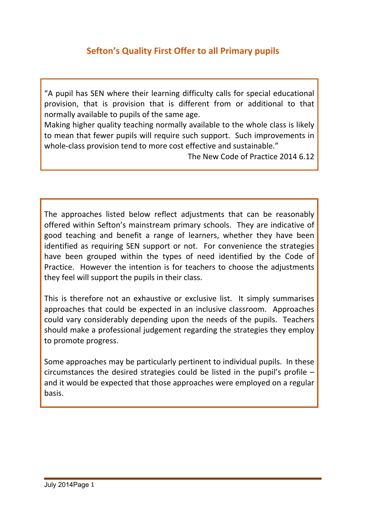# **Sefton's Quality First Offer to all Primary pupils**

"A pupil has SEN where their learning difficulty calls for special educational provision, that is provision that is different from or additional to that normally available to pupils of the same age.

Making higher quality teaching normally available to the whole class is likely to mean that fewer pupils will require such support. Such improvements in whole-class provision tend to more cost effective and sustainable."

The New Code of Practice 2014 6.12

The approaches listed below reflect adjustments that can be reasonably offered within Sefton's mainstream primary schools. They are indicative of good teaching and benefit a range of learners, whether they have been identified as requiring SEN support or not. For convenience the strategies have been grouped within the types of need identified by the Code of Practice. However the intention is for teachers to choose the adjustments they feel will support the pupils in their class.

This is therefore not an exhaustive or exclusive list. It simply summarises approaches that could be expected in an inclusive classroom. Approaches could vary considerably depending upon the needs of the pupils. Teachers should make a professional judgement regarding the strategies they employ to promote progress.

Some approaches may be particularly pertinent to individual pupils. In these circumstances the desired strategies could be listed in the pupil's profile – and it would be expected that those approaches were employed on a regular basis.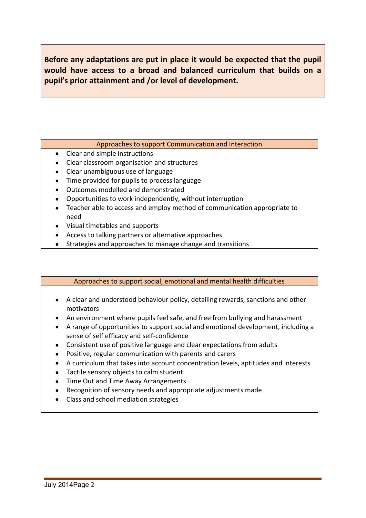**Before any adaptations are put in place it would be expected that the pupil would have access to a broad and balanced curriculum that builds on a pupil's prior attainment and /or level of development.**

### Approaches to support Communication and Interaction

- Clear and simple instructions
- Clear classroom organisation and structures
- Clear unambiguous use of language
- Time provided for pupils to process language
- Outcomes modelled and demonstrated
- Opportunities to work independently, without interruption
- Teacher able to access and employ method of communication appropriate to need
- Visual timetables and supports
- Access to talking partners or alternative approaches
- Strategies and approaches to manage change and transitions

## Approaches to support social, emotional and mental health difficulties

- A clear and understood behaviour policy, detailing rewards, sanctions and other motivators
- An environment where pupils feel safe, and free from bullying and harassment
- A range of opportunities to support social and emotional development, including a sense of self efficacy and self-confidence
- Consistent use of positive language and clear expectations from adults
- Positive, regular communication with parents and carers
- A curriculum that takes into account concentration levels, aptitudes and interests
- Tactile sensory objects to calm student
- Time Out and Time Away Arrangements
- Recognition of sensory needs and appropriate adjustments made
- Class and school mediation strategies